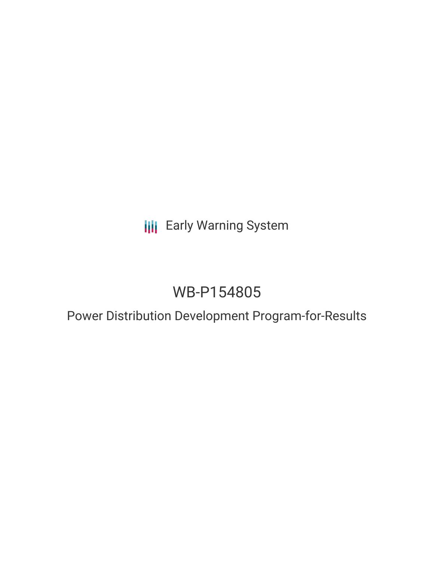# **III** Early Warning System

# WB-P154805

## Power Distribution Development Program-for-Results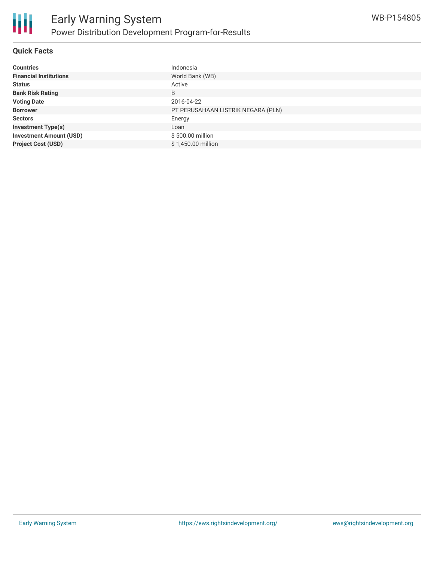

#### **Quick Facts**

| <b>Countries</b>               | Indonesia                          |
|--------------------------------|------------------------------------|
| <b>Financial Institutions</b>  | World Bank (WB)                    |
| <b>Status</b>                  | Active                             |
| <b>Bank Risk Rating</b>        | B                                  |
| <b>Voting Date</b>             | 2016-04-22                         |
| <b>Borrower</b>                | PT PERUSAHAAN LISTRIK NEGARA (PLN) |
| <b>Sectors</b>                 | Energy                             |
| <b>Investment Type(s)</b>      | Loan                               |
| <b>Investment Amount (USD)</b> | \$500.00 million                   |
| <b>Project Cost (USD)</b>      | \$1,450.00 million                 |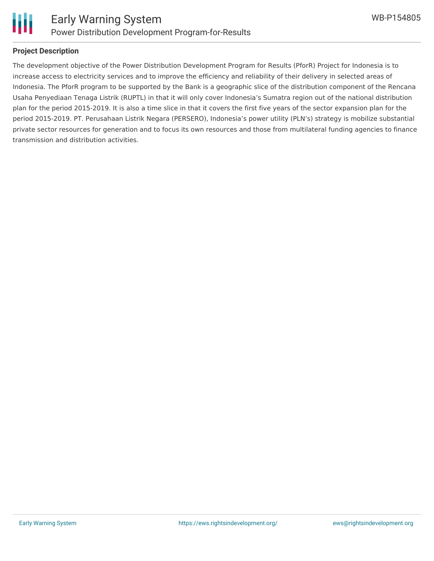

### **Project Description**

The development objective of the Power Distribution Development Program for Results (PforR) Project for Indonesia is to increase access to electricity services and to improve the efficiency and reliability of their delivery in selected areas of Indonesia. The PforR program to be supported by the Bank is a geographic slice of the distribution component of the Rencana Usaha Penyediaan Tenaga Listrik (RUPTL) in that it will only cover Indonesia's Sumatra region out of the national distribution plan for the period 2015-2019. It is also a time slice in that it covers the first five years of the sector expansion plan for the period 2015-2019. PT. Perusahaan Listrik Negara (PERSERO), Indonesia's power utility (PLN's) strategy is mobilize substantial private sector resources for generation and to focus its own resources and those from multilateral funding agencies to finance transmission and distribution activities.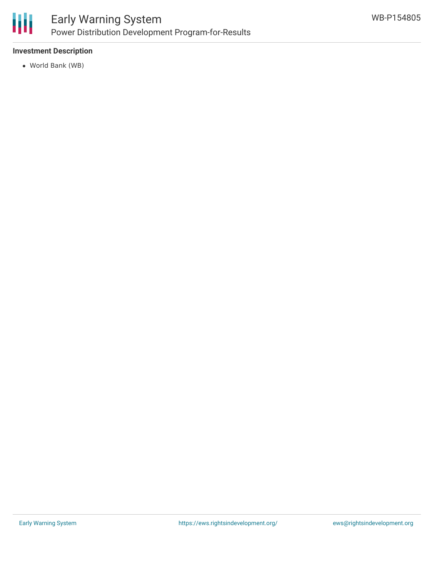

### **Investment Description**

World Bank (WB)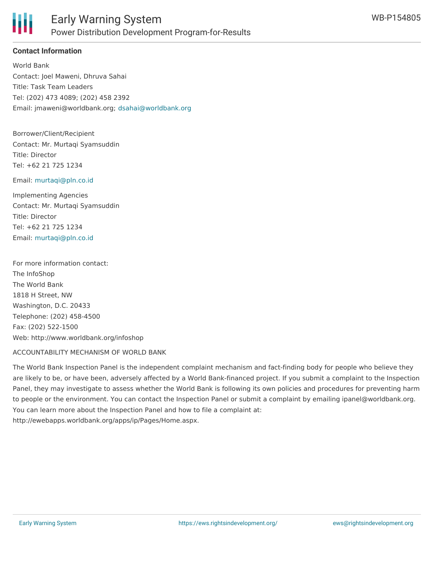

## **Contact Information**

World Bank Contact: Joel Maweni, Dhruva Sahai Title: Task Team Leaders Tel: (202) 473 4089; (202) 458 2392 Email: jmaweni@worldbank.org; [dsahai@worldbank.org](mailto:dsahai@worldbank.org)

Borrower/Client/Recipient Contact: Mr. Murtaqi Syamsuddin Title: Director Tel: +62 21 725 1234

#### Email: [murtaqi@pln.co.id](mailto:murtaqi@pln.co.id)

Implementing Agencies Contact: Mr. Murtaqi Syamsuddin Title: Director Tel: +62 21 725 1234 Email: [murtaqi@pln.co.id](mailto:murtaqi@pln.co.id)

For more information contact: The InfoShop The World Bank 1818 H Street, NW Washington, D.C. 20433 Telephone: (202) 458-4500 Fax: (202) 522-1500 Web: http://www.worldbank.org/infoshop

#### ACCOUNTABILITY MECHANISM OF WORLD BANK

The World Bank Inspection Panel is the independent complaint mechanism and fact-finding body for people who believe they are likely to be, or have been, adversely affected by a World Bank-financed project. If you submit a complaint to the Inspection Panel, they may investigate to assess whether the World Bank is following its own policies and procedures for preventing harm to people or the environment. You can contact the Inspection Panel or submit a complaint by emailing ipanel@worldbank.org. You can learn more about the Inspection Panel and how to file a complaint at: http://ewebapps.worldbank.org/apps/ip/Pages/Home.aspx.